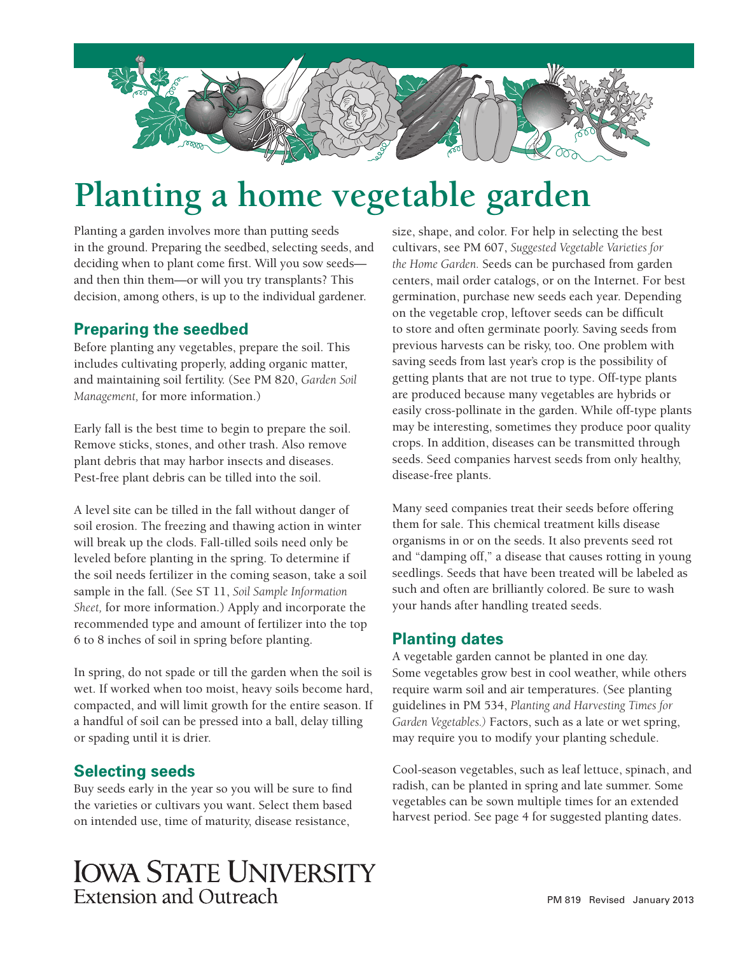

# **Planting a home vegetable garden**

Planting a garden involves more than putting seeds in the ground. Preparing the seedbed, selecting seeds, and deciding when to plant come first. Will you sow seeds and then thin them—or will you try transplants? This decision, among others, is up to the individual gardener.

### **Preparing the seedbed**

Before planting any vegetables, prepare the soil. This includes cultivating properly, adding organic matter, and maintaining soil fertility. (See PM 820, *Garden Soil Management,* for more information.)

Early fall is the best time to begin to prepare the soil. Remove sticks, stones, and other trash. Also remove plant debris that may harbor insects and diseases. Pest-free plant debris can be tilled into the soil.

A level site can be tilled in the fall without danger of soil erosion. The freezing and thawing action in winter will break up the clods. Fall-tilled soils need only be leveled before planting in the spring. To determine if the soil needs fertilizer in the coming season, take a soil sample in the fall. (See ST 11, *Soil Sample Information Sheet,* for more information.) Apply and incorporate the recommended type and amount of fertilizer into the top 6 to 8 inches of soil in spring before planting.

In spring, do not spade or till the garden when the soil is wet. If worked when too moist, heavy soils become hard, compacted, and will limit growth for the entire season. If a handful of soil can be pressed into a ball, delay tilling or spading until it is drier.

## **Selecting seeds**

Buy seeds early in the year so you will be sure to find the varieties or cultivars you want. Select them based on intended use, time of maturity, disease resistance,

# **IOWA STATE UNIVERSITY Extension and Outreach**

size, shape, and color. For help in selecting the best cultivars, see PM 607, *Suggested Vegetable Varieties for the Home Garden.* Seeds can be purchased from garden centers, mail order catalogs, or on the Internet. For best germination, purchase new seeds each year. Depending on the vegetable crop, leftover seeds can be difficult to store and often germinate poorly. Saving seeds from previous harvests can be risky, too. One problem with saving seeds from last year's crop is the possibility of getting plants that are not true to type. Off-type plants are produced because many vegetables are hybrids or easily cross-pollinate in the garden. While off-type plants may be interesting, sometimes they produce poor quality crops. In addition, diseases can be transmitted through seeds. Seed companies harvest seeds from only healthy, disease-free plants.

Many seed companies treat their seeds before offering them for sale. This chemical treatment kills disease organisms in or on the seeds. It also prevents seed rot and "damping off," a disease that causes rotting in young seedlings. Seeds that have been treated will be labeled as such and often are brilliantly colored. Be sure to wash your hands after handling treated seeds.

### **Planting dates**

A vegetable garden cannot be planted in one day. Some vegetables grow best in cool weather, while others require warm soil and air temperatures. (See planting guidelines in PM 534, *Planting and Harvesting Times for Garden Vegetables.)* Factors, such as a late or wet spring, may require you to modify your planting schedule.

Cool-season vegetables, such as leaf lettuce, spinach, and radish, can be planted in spring and late summer. Some vegetables can be sown multiple times for an extended harvest period. See page 4 for suggested planting dates.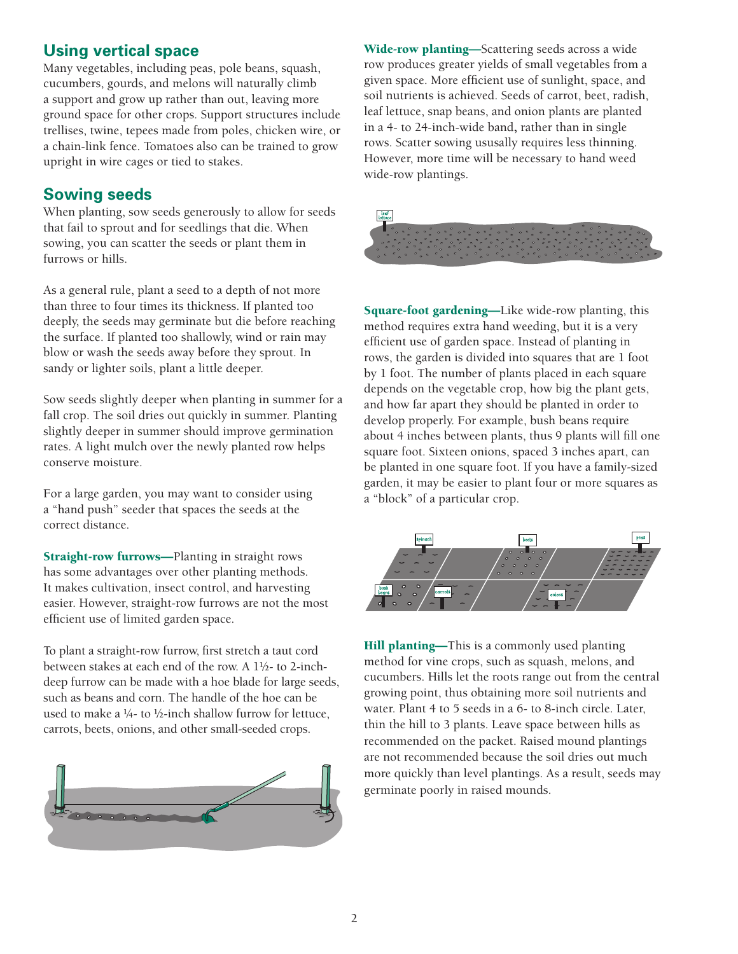## **Using vertical space**

Many vegetables, including peas, pole beans, squash, cucumbers, gourds, and melons will naturally climb a support and grow up rather than out, leaving more ground space for other crops. Support structures include trellises, twine, tepees made from poles, chicken wire, or a chain-link fence. Tomatoes also can be trained to grow upright in wire cages or tied to stakes.

#### **Sowing seeds**

When planting, sow seeds generously to allow for seeds that fail to sprout and for seedlings that die. When sowing, you can scatter the seeds or plant them in furrows or hills.

As a general rule, plant a seed to a depth of not more than three to four times its thickness. If planted too deeply, the seeds may germinate but die before reaching the surface. If planted too shallowly, wind or rain may blow or wash the seeds away before they sprout. In sandy or lighter soils, plant a little deeper.

Sow seeds slightly deeper when planting in summer for a fall crop. The soil dries out quickly in summer. Planting slightly deeper in summer should improve germination rates. A light mulch over the newly planted row helps conserve moisture.

For a large garden, you may want to consider using a "hand push" seeder that spaces the seeds at the correct distance.

Straight-row furrows—Planting in straight rows has some advantages over other planting methods. It makes cultivation, insect control, and harvesting easier. However, straight-row furrows are not the most efficient use of limited garden space.

To plant a straight-row furrow, first stretch a taut cord between stakes at each end of the row. A 1½- to 2-inchdeep furrow can be made with a hoe blade for large seeds, such as beans and corn. The handle of the hoe can be used to make a  $\frac{1}{4}$ - to  $\frac{1}{2}$ -inch shallow furrow for lettuce, carrots, beets, onions, and other small-seeded crops.



Wide-row planting—Scattering seeds across a wide row produces greater yields of small vegetables from a given space. More efficient use of sunlight, space, and soil nutrients is achieved. Seeds of carrot, beet, radish, leaf lettuce, snap beans, and onion plants are planted in a 4- to 24-inch-wide band, rather than in single rows. Scatter sowing ususally requires less thinning. However, more time will be necessary to hand weed wide-row plantings.



Square-foot gardening—Like wide-row planting, this method requires extra hand weeding, but it is a very efficient use of garden space. Instead of planting in rows, the garden is divided into squares that are 1 foot by 1 foot. The number of plants placed in each square depends on the vegetable crop, how big the plant gets, and how far apart they should be planted in order to develop properly. For example, bush beans require about 4 inches between plants, thus 9 plants will fill one square foot. Sixteen onions, spaced 3 inches apart, can be planted in one square foot. If you have a family-sized garden, it may be easier to plant four or more squares as a "block" of a particular crop.



Hill planting—This is a commonly used planting method for vine crops, such as squash, melons, and cucumbers. Hills let the roots range out from the central growing point, thus obtaining more soil nutrients and water. Plant 4 to 5 seeds in a 6- to 8-inch circle. Later, thin the hill to 3 plants. Leave space between hills as recommended on the packet. Raised mound plantings are not recommended because the soil dries out much more quickly than level plantings. As a result, seeds may germinate poorly in raised mounds.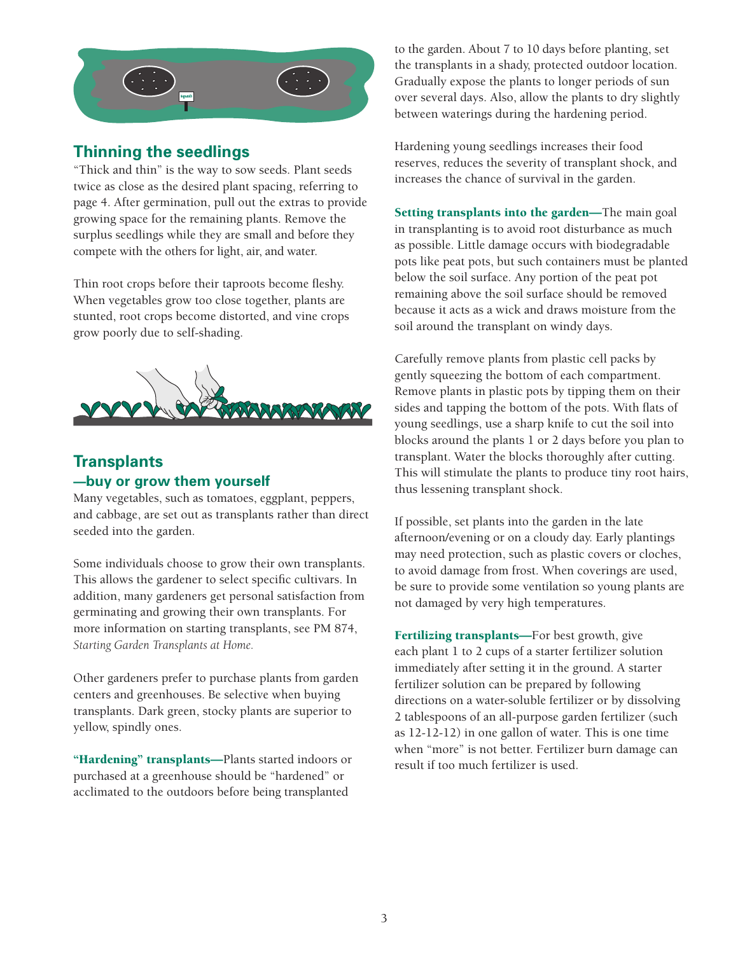

## **Thinning the seedlings**

"Thick and thin" is the way to sow seeds. Plant seeds twice as close as the desired plant spacing, referring to page 4. After germination, pull out the extras to provide growing space for the remaining plants. Remove the surplus seedlings while they are small and before they compete with the others for light, air, and water.

Thin root crops before their taproots become fleshy. When vegetables grow too close together, plants are stunted, root crops become distorted, and vine crops grow poorly due to self-shading.



## **Transplants —buy or grow them yourself**

Many vegetables, such as tomatoes, eggplant, peppers, and cabbage, are set out as transplants rather than direct seeded into the garden.

Some individuals choose to grow their own transplants. This allows the gardener to select specific cultivars. In addition, many gardeners get personal satisfaction from germinating and growing their own transplants. For more information on starting transplants, see PM 874, *Starting Garden Transplants at Home.*

Other gardeners prefer to purchase plants from garden centers and greenhouses. Be selective when buying transplants. Dark green, stocky plants are superior to yellow, spindly ones.

"Hardening" transplants—Plants started indoors or purchased at a greenhouse should be "hardened" or acclimated to the outdoors before being transplanted

to the garden. About 7 to 10 days before planting, set the transplants in a shady, protected outdoor location. Gradually expose the plants to longer periods of sun over several days. Also, allow the plants to dry slightly between waterings during the hardening period.

Hardening young seedlings increases their food reserves, reduces the severity of transplant shock, and increases the chance of survival in the garden.

Setting transplants into the garden—The main goal in transplanting is to avoid root disturbance as much as possible. Little damage occurs with biodegradable pots like peat pots, but such containers must be planted below the soil surface. Any portion of the peat pot remaining above the soil surface should be removed because it acts as a wick and draws moisture from the soil around the transplant on windy days.

Carefully remove plants from plastic cell packs by gently squeezing the bottom of each compartment. Remove plants in plastic pots by tipping them on their sides and tapping the bottom of the pots. With flats of young seedlings, use a sharp knife to cut the soil into blocks around the plants 1 or 2 days before you plan to transplant. Water the blocks thoroughly after cutting. This will stimulate the plants to produce tiny root hairs, thus lessening transplant shock.

If possible, set plants into the garden in the late afternoon/evening or on a cloudy day. Early plantings may need protection, such as plastic covers or cloches, to avoid damage from frost. When coverings are used, be sure to provide some ventilation so young plants are not damaged by very high temperatures.

Fertilizing transplants—For best growth, give each plant 1 to 2 cups of a starter fertilizer solution immediately after setting it in the ground. A starter fertilizer solution can be prepared by following directions on a water-soluble fertilizer or by dissolving 2 tablespoons of an all-purpose garden fertilizer (such as 12-12-12) in one gallon of water. This is one time when "more" is not better. Fertilizer burn damage can result if too much fertilizer is used.